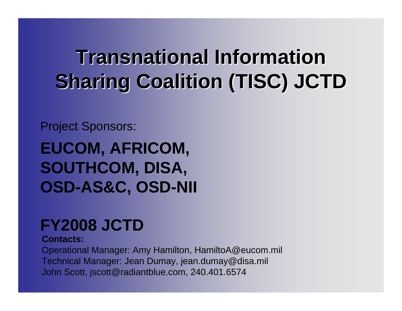# **Transnational Information Sharing Coalition (TISC) JCTD Sharing Coalition (TISC) JCTD**

#### Project Sponsors:

### **EUCOM, AFRICOM, SOUTHCOM, DISA, OSD-AS&C, OSD-NII**

### **FY2008 JCTD**

**Contacts:**

Operational Manager: Amy Hamilton, HamiltoA@eucom.mil Technical Manager: Jean Dumay, jean.dumay@disa.mil John Scott, jscott@radiantblue.com, 240.401.6574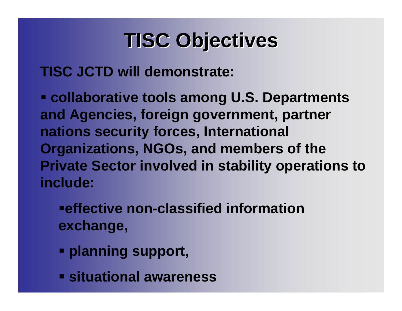### **TISC Objectives TISC Objectives**

**TISC JCTD will demonstrate:**

 **collaborative tools among U.S. Departments and Agencies, foreign government, partner nations security forces, International Organizations, NGOs, and members of the Private Sector involved in stability operations to include:**

**effective non-classified information exchange,** 

- **planning support,**
- **situational awareness**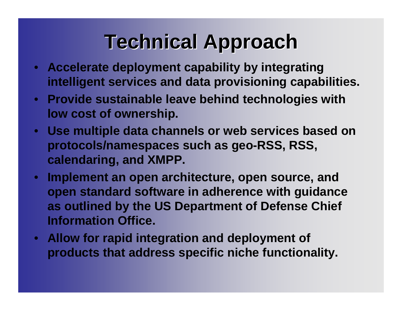# **Technical Approach Technical Approach**

- $\bullet$  **Accelerate deployment capability by integrating intelligent services and data provisioning capabilities.**
- **Provide sustainable leave behind technologies with low cost of ownership.**
- **Use multiple data channels or web services based on protocols/namespaces such as geo-RSS, RSS, calendaring, and XMPP.**
- $\bullet$  **Implement an open architecture, open source, and open standard software in adherence with guidance as outlined by the US Department of Defense Chief Information Office.**
- **Allow for rapid integration and deployment of products that address specific niche functionality.**